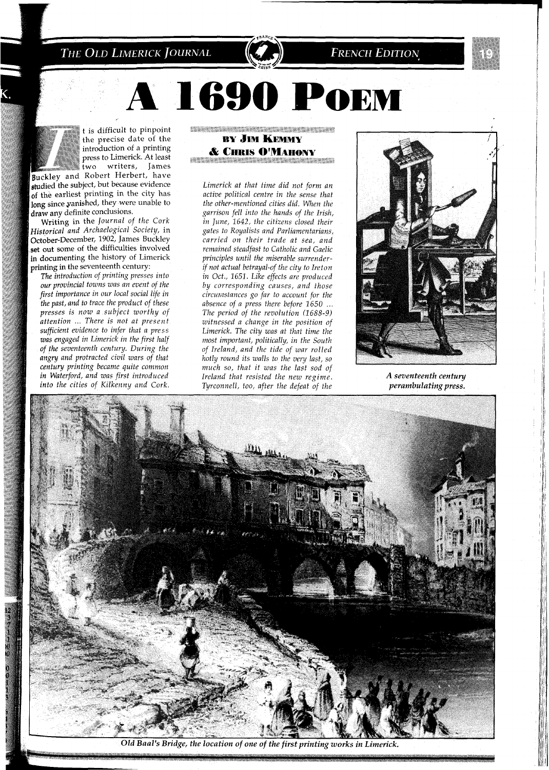THE OLD LIMERICK JOURNAL

START START START START AND ALL SHOP **BY JIM KEMMY & CHRIS O'MAHONY** 

**1690 POEM** 

*Limerick at that time did not form an active political centre in the sense that the other-mentioned cities did. When the garrison fell into the hands of the Irish, in June,* 1642, *the citizens closed their gates to Royalists and Parliamentarians, carried on their trade at sea, and remained steadfast to Catholic and Gaelic principles until the miserable surrenderif not actual betrayal-of the city to Ireton in Oct.,* 1651. *Like effects are produced by corresponding causes, and those circurizstances go far to account for the*  absence of a press there before  $1650$  ... *The period of the revolution (1688-9) witnessed a change in the position of Limerick. The city was at that time the most important, politically, in the South of Ireland, and the tide of war rolled hotly round its walls to the very last, so much so, that it was the last sod of Ireland that resisted the new regime. Tyrconnell, too, after the defeat of the* 



**FRENCH EDITION** 

A seventeenth century *perambulating press.* 



Old Baal's Bridge, the location of one of the first printing works in Limerick.



t is difficult to pinpoint the precise date of the introduction of a printing press to Limerick. At least two writers, James

Buckley and Robert Herbert, have studied the subject, but because evidence of the earliest printing in the city has long since vanished, they were unable to<br>draw any definite conclusions.

Writing in the Journal of the Cork Historical and Archaelogical Society, in October-December, 1902, James Buckley set out some of the difficulties involved<br>in documenting the history of Limerick printing in the seventeenth century:

The introduction of printing presses into *our provincial towns was an event of the*  first importance in our local social life in *the past, and to trace the product of these presses is now a subject worthy of attention* ... *There is not at present sufficient evidence to znfer that* a *press*   $w$ as engaged in Limerick in the first half *of the seventeenth century. During the angry and protracted civil wars of that*  $century$  printing became quite common *in Waterford, and was first introduced into the cities of Ktlkenny and Cork.*